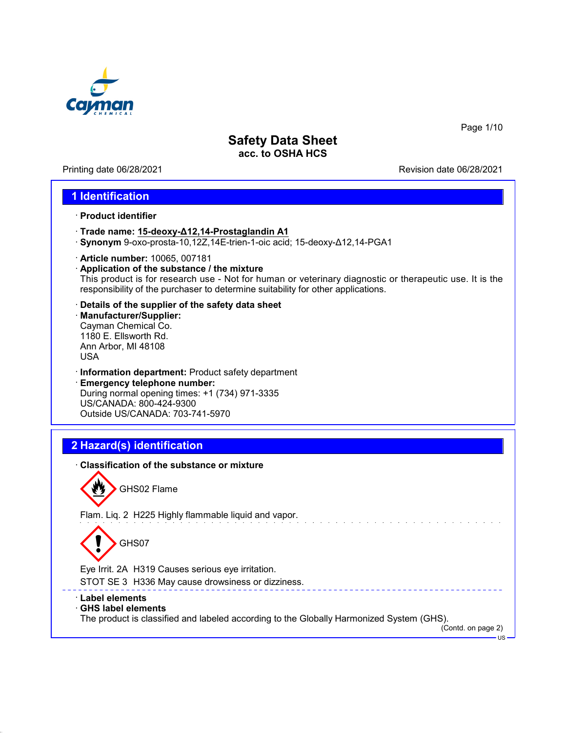

Printing date 06/28/2021 **Printing date 06/28/2021** 

Page 1/10

## **1 Identification**

- · **Product identifier**
- · **Trade name: 15-deoxy-Δ12,14-Prostaglandin A1**
- · **Synonym** 9-oxo-prosta-10,12Z,14E-trien-1-oic acid; 15-deoxy-Δ12,14-PGA1
- · **Article number:** 10065, 007181
- · **Application of the substance / the mixture** This product is for research use - Not for human or veterinary diagnostic or therapeutic use. It is the responsibility of the purchaser to determine suitability for other applications.
- · **Details of the supplier of the safety data sheet**
- · **Manufacturer/Supplier:** Cayman Chemical Co. 1180 E. Ellsworth Rd. Ann Arbor, MI 48108 USA
- · **Information department:** Product safety department · **Emergency telephone number:** During normal opening times: +1 (734) 971-3335 US/CANADA: 800-424-9300 Outside US/CANADA: 703-741-5970

# **2 Hazard(s) identification**

| <b>Classification of the substance or mixture</b>                                                                                          |
|--------------------------------------------------------------------------------------------------------------------------------------------|
| GHS02 Flame                                                                                                                                |
| Flam. Liq. 2 H225 Highly flammable liquid and vapor.                                                                                       |
| GHS07                                                                                                                                      |
| Eye Irrit. 2A H319 Causes serious eye irritation.                                                                                          |
| STOT SE 3 H336 May cause drowsiness or dizziness.                                                                                          |
| ∴ Label elements<br>$\cdot$ GHS label elements<br>The product is classified and labeled according to the Globally Harmonized System (GHS). |
| (Contd. on page 2)                                                                                                                         |
| $US -$                                                                                                                                     |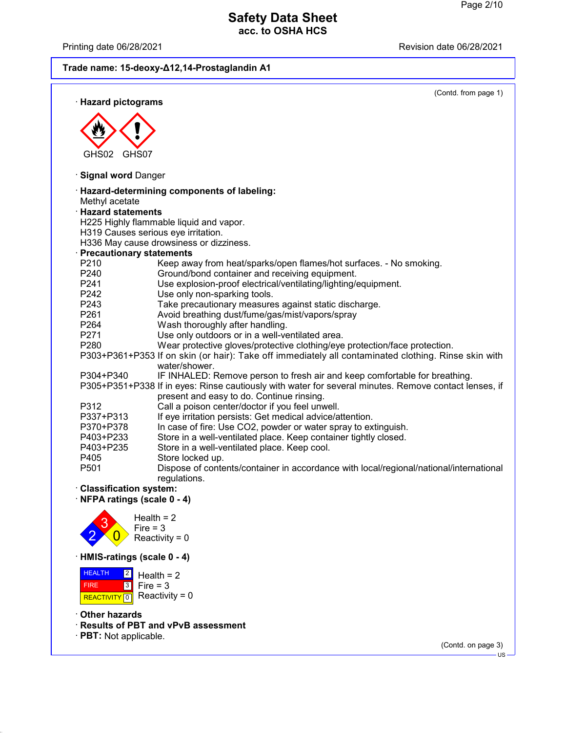Printing date 06/28/2021 **Printing date 06/28/2021** 

# **Trade name: 15-deoxy-Δ12,14-Prostaglandin A1**

|                                     | (Contd. from page 1)                                                                                                                               |
|-------------------------------------|----------------------------------------------------------------------------------------------------------------------------------------------------|
| · Hazard pictograms                 |                                                                                                                                                    |
|                                     |                                                                                                                                                    |
|                                     |                                                                                                                                                    |
|                                     |                                                                                                                                                    |
| GHS02<br>GHS07                      |                                                                                                                                                    |
| · Signal word Danger                |                                                                                                                                                    |
|                                     | · Hazard-determining components of labeling:                                                                                                       |
| Methyl acetate                      |                                                                                                                                                    |
| · Hazard statements                 |                                                                                                                                                    |
|                                     | H225 Highly flammable liquid and vapor.                                                                                                            |
| H319 Causes serious eye irritation. |                                                                                                                                                    |
|                                     | H336 May cause drowsiness or dizziness.                                                                                                            |
| <b>Precautionary statements</b>     |                                                                                                                                                    |
| P <sub>2</sub> 10                   | Keep away from heat/sparks/open flames/hot surfaces. - No smoking.                                                                                 |
| P240                                | Ground/bond container and receiving equipment.                                                                                                     |
| P241                                | Use explosion-proof electrical/ventilating/lighting/equipment.                                                                                     |
| P242                                | Use only non-sparking tools.                                                                                                                       |
| P243                                | Take precautionary measures against static discharge.                                                                                              |
| P261                                | Avoid breathing dust/fume/gas/mist/vapors/spray                                                                                                    |
| P <sub>264</sub><br>P271            | Wash thoroughly after handling.                                                                                                                    |
| P280                                | Use only outdoors or in a well-ventilated area.                                                                                                    |
|                                     | Wear protective gloves/protective clothing/eye protection/face protection.                                                                         |
|                                     | P303+P361+P353 If on skin (or hair): Take off immediately all contaminated clothing. Rinse skin with<br>water/shower.                              |
| P304+P340                           | IF INHALED: Remove person to fresh air and keep comfortable for breathing.                                                                         |
|                                     | P305+P351+P338 If in eyes: Rinse cautiously with water for several minutes. Remove contact lenses, if<br>present and easy to do. Continue rinsing. |
| P312                                | Call a poison center/doctor if you feel unwell.                                                                                                    |
| P337+P313                           | If eye irritation persists: Get medical advice/attention.                                                                                          |
| P370+P378                           | In case of fire: Use CO2, powder or water spray to extinguish.                                                                                     |
| P403+P233                           | Store in a well-ventilated place. Keep container tightly closed.                                                                                   |
| P403+P235                           | Store in a well-ventilated place. Keep cool.                                                                                                       |
| P405                                | Store locked up.                                                                                                                                   |
| P501                                | Dispose of contents/container in accordance with local/regional/national/international                                                             |
|                                     | regulations.                                                                                                                                       |
| · Classification system:            |                                                                                                                                                    |
| NFPA ratings (scale 0 - 4)          |                                                                                                                                                    |
|                                     | Health $= 2$                                                                                                                                       |
| Fire $=$ 3                          |                                                                                                                                                    |
|                                     | Reactivity = $0$                                                                                                                                   |

· **HMIS-ratings (scale 0 - 4)**

 HEALTH FIRE REACTIVITY  $\boxed{0}$  Reactivity = 0 2 3 Fire = 3 Health  $= 2$ 

· **Other hazards**

· **Results of PBT and vPvB assessment**

· **PBT:** Not applicable.

(Contd. on page 3)

US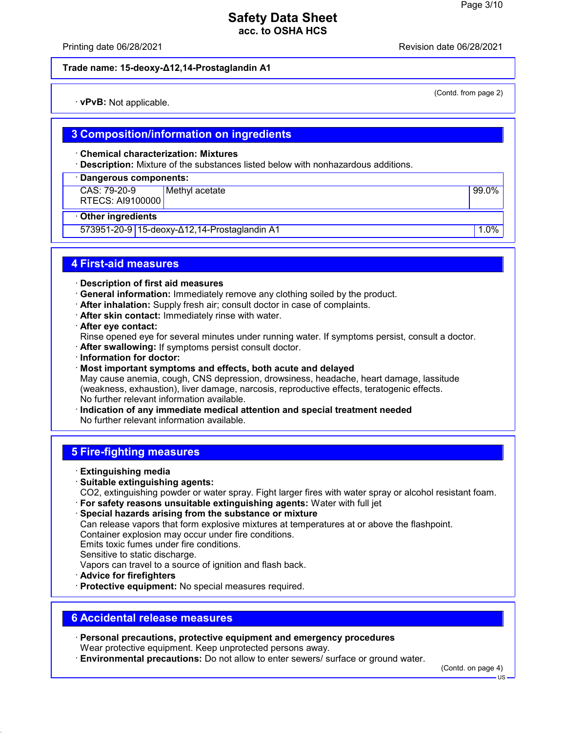Printing date 06/28/2021 Revision date 06/28/2021

(Contd. from page 2)

#### **Trade name: 15-deoxy-Δ12,14-Prostaglandin A1**

· **vPvB:** Not applicable.

## **3 Composition/information on ingredients**

#### · **Chemical characterization: Mixtures**

· **Description:** Mixture of the substances listed below with nonhazardous additions.

#### · **Dangerous components:**

CAS: 79-20-9 RTECS: AI9100000 Methyl acetate 99.0%

#### · **Other ingredients**

573951-20-9 15-deoxy-Δ12,14-Prostaglandin A1 1.0%

## **4 First-aid measures**

· **Description of first aid measures**

- · **General information:** Immediately remove any clothing soiled by the product.
- · **After inhalation:** Supply fresh air; consult doctor in case of complaints.
- · **After skin contact:** Immediately rinse with water.
- · **After eye contact:**

Rinse opened eye for several minutes under running water. If symptoms persist, consult a doctor.

· **After swallowing:** If symptoms persist consult doctor.

- · **Information for doctor:**
- · **Most important symptoms and effects, both acute and delayed** May cause anemia, cough, CNS depression, drowsiness, headache, heart damage, lassitude (weakness, exhaustion), liver damage, narcosis, reproductive effects, teratogenic effects. No further relevant information available.
- · **Indication of any immediate medical attention and special treatment needed** No further relevant information available.

## **5 Fire-fighting measures**

- · **Extinguishing media**
- · **Suitable extinguishing agents:**

CO2, extinguishing powder or water spray. Fight larger fires with water spray or alcohol resistant foam.

- · **For safety reasons unsuitable extinguishing agents:** Water with full jet
- · **Special hazards arising from the substance or mixture**

Can release vapors that form explosive mixtures at temperatures at or above the flashpoint. Container explosion may occur under fire conditions.

Emits toxic fumes under fire conditions.

Sensitive to static discharge.

Vapors can travel to a source of ignition and flash back.

- · **Advice for firefighters**
- · **Protective equipment:** No special measures required.

## **6 Accidental release measures**

- · **Personal precautions, protective equipment and emergency procedures** Wear protective equipment. Keep unprotected persons away.
- · **Environmental precautions:** Do not allow to enter sewers/ surface or ground water.

(Contd. on page 4)

US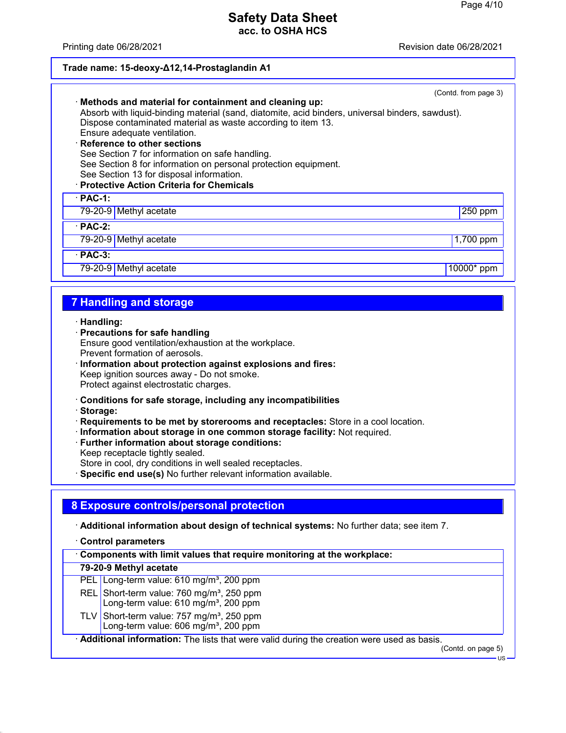Printing date 06/28/2021 Revision date 06/28/2021

#### **Trade name: 15-deoxy-Δ12,14-Prostaglandin A1**

|                                                                                                                                                             | (Contd. from page 3) |
|-------------------------------------------------------------------------------------------------------------------------------------------------------------|----------------------|
| · Methods and material for containment and cleaning up:<br>Absorb with liquid-binding material (sand, diatomite, acid binders, universal binders, sawdust). |                      |
| Dispose contaminated material as waste according to item 13.                                                                                                |                      |
| Ensure adequate ventilation.                                                                                                                                |                      |
| · Reference to other sections<br>See Section 7 for information on safe handling.                                                                            |                      |
| See Section 8 for information on personal protection equipment.                                                                                             |                      |
| See Section 13 for disposal information.                                                                                                                    |                      |
| · Protective Action Criteria for Chemicals                                                                                                                  |                      |
| $\cdot$ PAC-1:                                                                                                                                              |                      |
| 79-20-9 Methyl acetate                                                                                                                                      | 250 ppm              |
| $\cdot$ PAC-2:                                                                                                                                              |                      |
| 79-20-9 Methyl acetate                                                                                                                                      | 1,700 ppm            |
| $\cdot$ PAC-3:                                                                                                                                              |                      |
| 79-20-9 Methyl acetate                                                                                                                                      | 10000* ppm           |
|                                                                                                                                                             |                      |
| <b>7 Handling and storage</b>                                                                                                                               |                      |

· **Handling:**

- · **Precautions for safe handling** Ensure good ventilation/exhaustion at the workplace. Prevent formation of aerosols.
- · **Information about protection against explosions and fires:** Keep ignition sources away - Do not smoke. Protect against electrostatic charges.
- · **Conditions for safe storage, including any incompatibilities**
- · **Storage:**
- · **Requirements to be met by storerooms and receptacles:** Store in a cool location.
- · **Information about storage in one common storage facility:** Not required.
- · **Further information about storage conditions:** Keep receptacle tightly sealed.

Store in cool, dry conditions in well sealed receptacles.

· **Specific end use(s)** No further relevant information available.

## **8 Exposure controls/personal protection**

· **Additional information about design of technical systems:** No further data; see item 7.

· **Control parameters**

· **Components with limit values that require monitoring at the workplace:**

#### **79-20-9 Methyl acetate**

PEL Long-term value: 610 mg/m<sup>3</sup>, 200 ppm

- REL Short-term value: 760 mg/m<sup>3</sup>, 250 ppm
- Long-term value:  $610$  mg/m<sup>3</sup>, 200 ppm
- TLV Short-term value:  $757 \text{ mg/m}^3$ , 250 ppm Long-term value: 606 mg/m<sup>3</sup>, 200 ppm

· **Additional information:** The lists that were valid during the creation were used as basis.

(Contd. on page 5)

US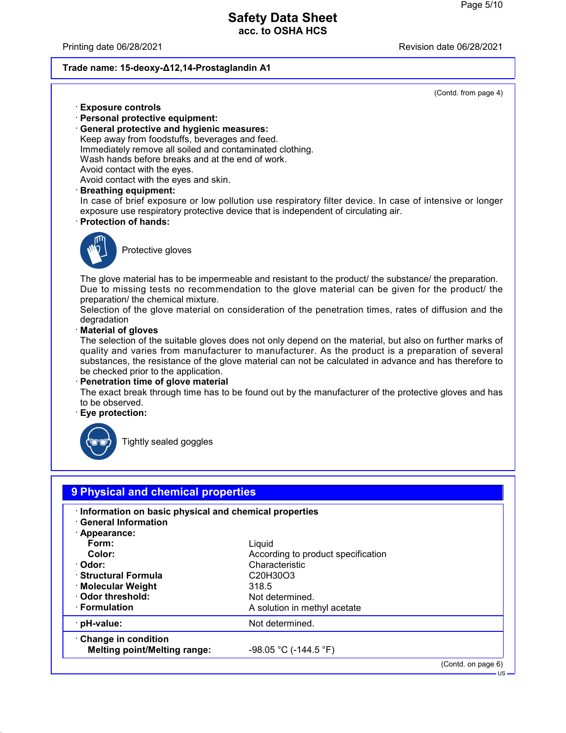Printing date 06/28/2021 Revision date 06/28/2021

#### **Trade name: 15-deoxy-Δ12,14-Prostaglandin A1**

(Contd. from page 4)

US

- · **Exposure controls**
- · **Personal protective equipment:**
- · **General protective and hygienic measures:** Keep away from foodstuffs, beverages and feed. Immediately remove all soiled and contaminated clothing. Wash hands before breaks and at the end of work. Avoid contact with the eyes.
- Avoid contact with the eyes and skin.
- · **Breathing equipment:**

In case of brief exposure or low pollution use respiratory filter device. In case of intensive or longer exposure use respiratory protective device that is independent of circulating air.

· **Protection of hands:**



Protective gloves

The glove material has to be impermeable and resistant to the product/ the substance/ the preparation. Due to missing tests no recommendation to the glove material can be given for the product/ the preparation/ the chemical mixture.

Selection of the glove material on consideration of the penetration times, rates of diffusion and the degradation

#### · **Material of gloves**

The selection of the suitable gloves does not only depend on the material, but also on further marks of quality and varies from manufacturer to manufacturer. As the product is a preparation of several substances, the resistance of the glove material can not be calculated in advance and has therefore to be checked prior to the application.

#### · **Penetration time of glove material**

The exact break through time has to be found out by the manufacturer of the protective gloves and has to be observed.

#### · **Eye protection:**



Tightly sealed goggles

# **9 Physical and chemical properties**

| · Information on basic physical and chemical properties |                                    |                    |
|---------------------------------------------------------|------------------------------------|--------------------|
| <b>General Information</b>                              |                                    |                    |
| · Appearance:                                           |                                    |                    |
| Form:                                                   | Liquid                             |                    |
| Color:                                                  | According to product specification |                    |
| · Odor:                                                 | Characteristic                     |                    |
| · Structural Formula                                    | C20H30O3                           |                    |
| ⋅ Molecular Weight                                      | 318.5                              |                    |
| Odor threshold:                                         | Not determined.                    |                    |
| · Formulation                                           | A solution in methyl acetate       |                    |
| · pH-value:                                             | Not determined.                    |                    |
| Change in condition                                     |                                    |                    |
| <b>Melting point/Melting range:</b>                     | $-98.05$ °C (-144.5 °F)            |                    |
|                                                         |                                    | (Contd. on page 6) |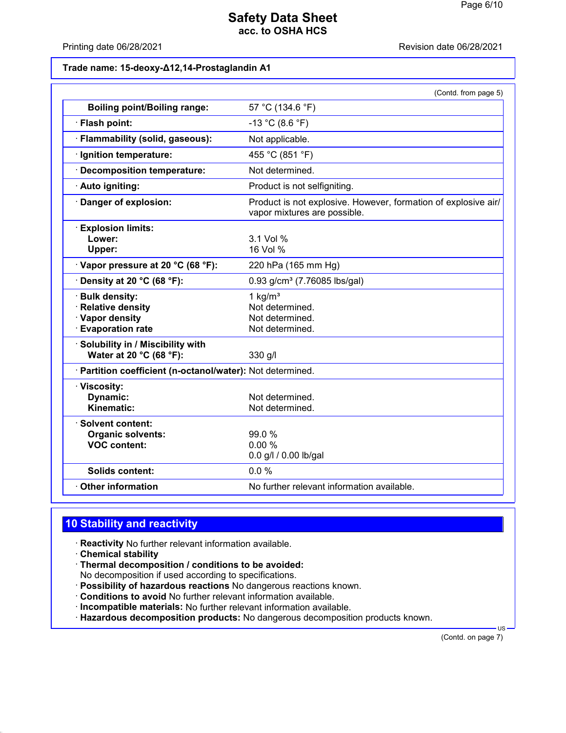Printing date 06/28/2021 **Printing date 06/28/2021** 

### **Trade name: 15-deoxy-Δ12,14-Prostaglandin A1**

|                                                                                          | (Contd. from page 5)                                                                           |
|------------------------------------------------------------------------------------------|------------------------------------------------------------------------------------------------|
| <b>Boiling point/Boiling range:</b>                                                      | 57 °C (134.6 °F)                                                                               |
| · Flash point:                                                                           | $-13$ °C (8.6 °F)                                                                              |
| · Flammability (solid, gaseous):                                                         | Not applicable.                                                                                |
| · Ignition temperature:                                                                  | 455 °C (851 °F)                                                                                |
| · Decomposition temperature:                                                             | Not determined.                                                                                |
| · Auto igniting:                                                                         | Product is not selfigniting.                                                                   |
| Danger of explosion:                                                                     | Product is not explosive. However, formation of explosive air/<br>vapor mixtures are possible. |
| <b>Explosion limits:</b><br>Lower:<br>Upper:                                             | 3.1 Vol %<br>16 Vol %                                                                          |
| Vapor pressure at 20 °C (68 °F):                                                         | 220 hPa (165 mm Hg)                                                                            |
| $\cdot$ Density at 20 °C (68 °F):                                                        | $0.93$ g/cm <sup>3</sup> (7.76085 lbs/gal)                                                     |
| · Bulk density:<br><b>Relative density</b><br>· Vapor density<br><b>Evaporation rate</b> | 1 $kg/m3$<br>Not determined.<br>Not determined.<br>Not determined.                             |
| · Solubility in / Miscibility with<br>Water at 20 °C (68 °F):                            | 330 g/l                                                                                        |
| · Partition coefficient (n-octanol/water): Not determined.                               |                                                                                                |
| · Viscosity:<br>Dynamic:<br>Kinematic:                                                   | Not determined.<br>Not determined.                                                             |
| · Solvent content:<br><b>Organic solvents:</b><br><b>VOC content:</b>                    | 99.0%<br>0.00%<br>0.0 g/l / 0.00 lb/gal                                                        |
| <b>Solids content:</b>                                                                   | 0.0%                                                                                           |
| Other information                                                                        | No further relevant information available.                                                     |

# **10 Stability and reactivity**

· **Reactivity** No further relevant information available.

- · **Chemical stability**
- · **Thermal decomposition / conditions to be avoided:** No decomposition if used according to specifications.
- · **Possibility of hazardous reactions** No dangerous reactions known.
- · **Conditions to avoid** No further relevant information available.
- · **Incompatible materials:** No further relevant information available.
- · **Hazardous decomposition products:** No dangerous decomposition products known.

(Contd. on page 7)

US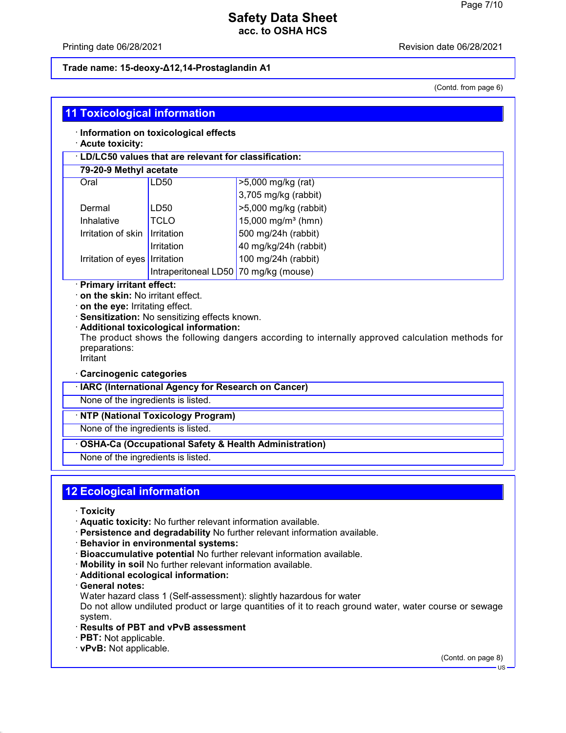### Printing date 06/28/2021 Revision date 06/28/2021

### **Trade name: 15-deoxy-Δ12,14-Prostaglandin A1**

(Contd. from page 6)

| <b>11 Toxicological information</b>                              |                                                        |                                                                                                  |  |
|------------------------------------------------------------------|--------------------------------------------------------|--------------------------------------------------------------------------------------------------|--|
| · Information on toxicological effects<br>· Acute toxicity:      |                                                        |                                                                                                  |  |
|                                                                  | · LD/LC50 values that are relevant for classification: |                                                                                                  |  |
|                                                                  | 79-20-9 Methyl acetate                                 |                                                                                                  |  |
| Oral                                                             | LD50                                                   | >5,000 mg/kg (rat)                                                                               |  |
|                                                                  |                                                        | 3,705 mg/kg (rabbit)                                                                             |  |
| Dermal                                                           | LD50                                                   | >5,000 mg/kg (rabbit)                                                                            |  |
| Inhalative                                                       | <b>TCLO</b>                                            | 15,000 mg/m <sup>3</sup> (hmn)                                                                   |  |
| Irritation of skin                                               | Irritation                                             | 500 mg/24h (rabbit)                                                                              |  |
|                                                                  | Irritation                                             | 40 mg/kg/24h (rabbit)                                                                            |  |
| Irritation of eyes   Irritation                                  |                                                        | 100 mg/24h (rabbit)                                                                              |  |
|                                                                  | Intraperitoneal LD50 70 mg/kg (mouse)                  |                                                                                                  |  |
| preparations:<br>Irritant                                        | · Additional toxicological information:                | The product shows the following dangers according to internally approved calculation methods for |  |
| · Carcinogenic categories                                        |                                                        |                                                                                                  |  |
|                                                                  | · IARC (International Agency for Research on Cancer)   |                                                                                                  |  |
| None of the ingredients is listed.                               |                                                        |                                                                                                  |  |
|                                                                  | · NTP (National Toxicology Program)                    |                                                                                                  |  |
|                                                                  | None of the ingredients is listed.                     |                                                                                                  |  |
| <b>OSHA-Ca (Occupational Safety &amp; Health Administration)</b> |                                                        |                                                                                                  |  |
| None of the ingredients is listed.                               |                                                        |                                                                                                  |  |
|                                                                  | <b>12 Ecological information</b>                       |                                                                                                  |  |
| · Toxicity                                                       |                                                        |                                                                                                  |  |

- · **Aquatic toxicity:** No further relevant information available.
- · **Persistence and degradability** No further relevant information available.
- · **Behavior in environmental systems:**
- · **Bioaccumulative potential** No further relevant information available.
- · **Mobility in soil** No further relevant information available.
- · **Additional ecological information:**
- · **General notes:**
- Water hazard class 1 (Self-assessment): slightly hazardous for water

Do not allow undiluted product or large quantities of it to reach ground water, water course or sewage system.

- · **Results of PBT and vPvB assessment**
- · **PBT:** Not applicable.
- · **vPvB:** Not applicable.

(Contd. on page 8) US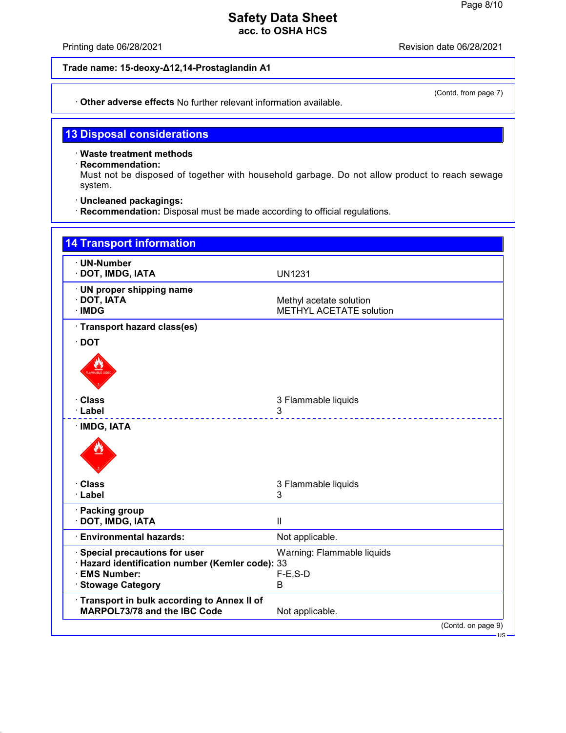Printing date 06/28/2021 **Printing date 06/28/2021** 

## **Trade name: 15-deoxy-Δ12,14-Prostaglandin A1**

· **Other adverse effects** No further relevant information available.

# **13 Disposal considerations**

· **Waste treatment methods**

· **Recommendation:**

Must not be disposed of together with household garbage. Do not allow product to reach sewage system.

· **Uncleaned packagings:**

· **Recommendation:** Disposal must be made according to official regulations.

| · UN-Number<br>DOT, IMDG, IATA                                                                                                    | <b>UN1231</b>                                             |
|-----------------------------------------------------------------------------------------------------------------------------------|-----------------------------------------------------------|
| UN proper shipping name<br>DOT, IATA<br>· IMDG                                                                                    | Methyl acetate solution<br><b>METHYL ACETATE solution</b> |
| · Transport hazard class(es)                                                                                                      |                                                           |
| $\cdot$ DOT                                                                                                                       |                                                           |
|                                                                                                                                   |                                                           |
| · Class                                                                                                                           | 3 Flammable liquids                                       |
| · Label                                                                                                                           | 3                                                         |
|                                                                                                                                   |                                                           |
| · Class                                                                                                                           | 3 Flammable liquids                                       |
| · Label                                                                                                                           | 3                                                         |
| · Packing group<br>· DOT, IMDG, IATA                                                                                              | $\mathbf{II}$                                             |
| <b>Environmental hazards:</b>                                                                                                     | Not applicable.                                           |
| Special precautions for user<br>· Hazard identification number (Kemler code): 33<br><b>EMS Number:</b><br><b>Stowage Category</b> | Warning: Flammable liquids<br>$F-E$ , S-D<br>B            |
| Transport in bulk according to Annex II of<br>MARPOL73/78 and the IBC Code                                                        | Not applicable.                                           |

(Contd. from page 7)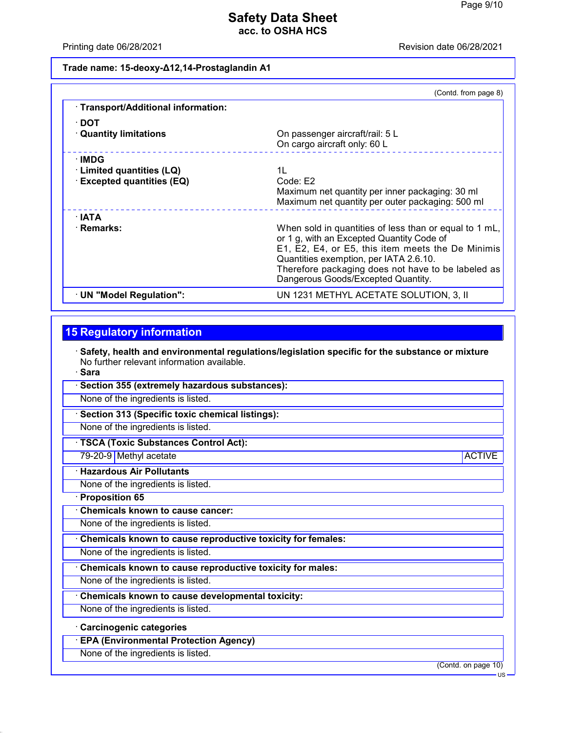Printing date 06/28/2021 Revision date 06/28/2021

## **Trade name: 15-deoxy-Δ12,14-Prostaglandin A1**

|                                     | (Contd. from page 8)                                                                                                                                                                                                                                                                           |
|-------------------------------------|------------------------------------------------------------------------------------------------------------------------------------------------------------------------------------------------------------------------------------------------------------------------------------------------|
| · Transport/Additional information: |                                                                                                                                                                                                                                                                                                |
| ∙ DOT                               |                                                                                                                                                                                                                                                                                                |
| <b>Quantity limitations</b>         | On passenger aircraft/rail: 5 L<br>On cargo aircraft only: 60 L                                                                                                                                                                                                                                |
| ∴IMDG                               |                                                                                                                                                                                                                                                                                                |
| $\cdot$ Limited quantities (LQ)     | 1L                                                                                                                                                                                                                                                                                             |
| <b>Excepted quantities (EQ)</b>     | Code: E2                                                                                                                                                                                                                                                                                       |
|                                     | Maximum net quantity per inner packaging: 30 ml<br>Maximum net quantity per outer packaging: 500 ml                                                                                                                                                                                            |
| ∴IATA                               |                                                                                                                                                                                                                                                                                                |
| · Remarks:                          | When sold in quantities of less than or equal to 1 mL,<br>or 1 g, with an Excepted Quantity Code of<br>E1, E2, E4, or E5, this item meets the De Minimis<br>Quantities exemption, per IATA 2.6.10.<br>Therefore packaging does not have to be labeled as<br>Dangerous Goods/Excepted Quantity. |
| $\cdot$ UN "Model Regulation":      | UN 1231 METHYL ACETATE SOLUTION, 3, II                                                                                                                                                                                                                                                         |
|                                     |                                                                                                                                                                                                                                                                                                |

# **15 Regulatory information**

· **Safety, health and environmental regulations/legislation specific for the substance or mixture** No further relevant information available.

· **Sara**

· **Section 355 (extremely hazardous substances):**

None of the ingredients is listed.

· **Section 313 (Specific toxic chemical listings):**

None of the ingredients is listed.

· **TSCA (Toxic Substances Control Act):**

79-20-9 Methyl acetate ACTIVE and ACTIVE and ACTIVE and ACTIVE and ACTIVE and ACTIVE and ACTIVE and ACTIVE and ACTIVE

· **Hazardous Air Pollutants**

None of the ingredients is listed.

· **Proposition 65**

· **Chemicals known to cause cancer:**

None of the ingredients is listed.

· **Chemicals known to cause reproductive toxicity for females:**

None of the ingredients is listed.

· **Chemicals known to cause reproductive toxicity for males:**

None of the ingredients is listed.

· **Chemicals known to cause developmental toxicity:**

None of the ingredients is listed.

· **Carcinogenic categories**

· **EPA (Environmental Protection Agency)**

None of the ingredients is listed.

(Contd. on page 10)

US